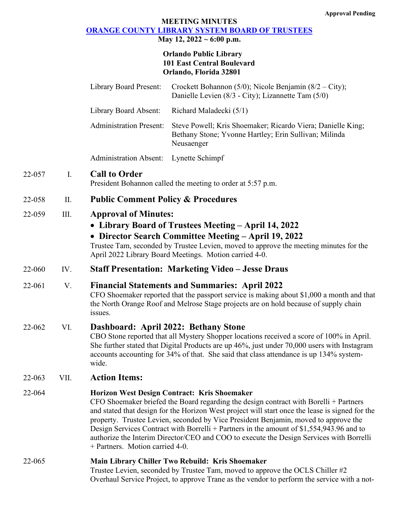# **MEETING MINUTES [ORANGE COUNTY LIBRARY SYSTEM BOARD OF TRUSTEES](https://www.ocls.info/board-trustees/board-meetings-minutes)**

# **May 12, 2022 ~ 6:00 p.m.**

## **Orlando Public Library 101 East Central Boulevard Orlando, Florida 32801**

|        |      | <b>Library Board Present:</b>                                                                                                                                                                                                                                                                                                                                                                                                                                                                                                                                | Crockett Bohannon (5/0); Nicole Benjamin (8/2 – City);<br>Danielle Levien (8/3 - City); Lizannette Tam (5/0)                                                                                                                     |
|--------|------|--------------------------------------------------------------------------------------------------------------------------------------------------------------------------------------------------------------------------------------------------------------------------------------------------------------------------------------------------------------------------------------------------------------------------------------------------------------------------------------------------------------------------------------------------------------|----------------------------------------------------------------------------------------------------------------------------------------------------------------------------------------------------------------------------------|
|        |      | Library Board Absent:                                                                                                                                                                                                                                                                                                                                                                                                                                                                                                                                        | Richard Maladecki (5/1)                                                                                                                                                                                                          |
|        |      | <b>Administration Present:</b>                                                                                                                                                                                                                                                                                                                                                                                                                                                                                                                               | Steve Powell; Kris Shoemaker; Ricardo Viera; Danielle King;<br>Bethany Stone; Yvonne Hartley; Erin Sullivan; Milinda<br>Neusaenger                                                                                               |
|        |      | <b>Administration Absent:</b>                                                                                                                                                                                                                                                                                                                                                                                                                                                                                                                                | Lynette Schimpf                                                                                                                                                                                                                  |
| 22-057 | Ι.   | <b>Call to Order</b>                                                                                                                                                                                                                                                                                                                                                                                                                                                                                                                                         | President Bohannon called the meeting to order at 5:57 p.m.                                                                                                                                                                      |
| 22-058 | II.  | <b>Public Comment Policy &amp; Procedures</b>                                                                                                                                                                                                                                                                                                                                                                                                                                                                                                                |                                                                                                                                                                                                                                  |
| 22-059 | III. | <b>Approval of Minutes:</b><br>• Library Board of Trustees Meeting – April 14, 2022<br>• Director Search Committee Meeting - April 19, 2022<br>Trustee Tam, seconded by Trustee Levien, moved to approve the meeting minutes for the<br>April 2022 Library Board Meetings. Motion carried 4-0.                                                                                                                                                                                                                                                               |                                                                                                                                                                                                                                  |
| 22-060 | IV.  | <b>Staff Presentation: Marketing Video - Jesse Draus</b>                                                                                                                                                                                                                                                                                                                                                                                                                                                                                                     |                                                                                                                                                                                                                                  |
| 22-061 | V.   | <b>Financial Statements and Summaries: April 2022</b><br>CFO Shoemaker reported that the passport service is making about \$1,000 a month and that<br>the North Orange Roof and Melrose Stage projects are on hold because of supply chain<br>issues.                                                                                                                                                                                                                                                                                                        |                                                                                                                                                                                                                                  |
| 22-062 | VI.  | Dashboard: April 2022: Bethany Stone<br>CBO Stone reported that all Mystery Shopper locations received a score of 100% in April.<br>She further stated that Digital Products are up 46%, just under 70,000 users with Instagram<br>accounts accounting for 34% of that. She said that class attendance is up 134% system-<br>wide.                                                                                                                                                                                                                           |                                                                                                                                                                                                                                  |
| 22-063 | VII. | <b>Action Items:</b>                                                                                                                                                                                                                                                                                                                                                                                                                                                                                                                                         |                                                                                                                                                                                                                                  |
| 22-064 |      | Horizon West Design Contract: Kris Shoemaker<br>CFO Shoemaker briefed the Board regarding the design contract with Borelli $+$ Partners<br>and stated that design for the Horizon West project will start once the lease is signed for the<br>property. Trustee Levien, seconded by Vice President Benjamin, moved to approve the<br>Design Services Contract with Borrelli + Partners in the amount of $$1,554,943.96$ and to<br>authorize the Interim Director/CEO and COO to execute the Design Services with Borrelli<br>+ Partners. Motion carried 4-0. |                                                                                                                                                                                                                                  |
| 22-065 |      |                                                                                                                                                                                                                                                                                                                                                                                                                                                                                                                                                              | Main Library Chiller Two Rebuild: Kris Shoemaker<br>Trustee Levien, seconded by Trustee Tam, moved to approve the OCLS Chiller #2<br>Overhaul Service Project, to approve Trane as the vendor to perform the service with a not- |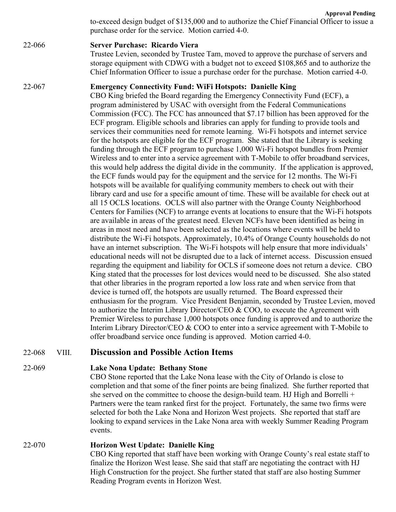**Approval Pending** to-exceed design budget of \$135,000 and to authorize the Chief Financial Officer to issue a purchase order for the service. Motion carried 4-0.

# 22-066 **Server Purchase: Ricardo Viera**

Trustee Levien, seconded by Trustee Tam, moved to approve the purchase of servers and storage equipment with CDWG with a budget not to exceed \$108,865 and to authorize the Chief Information Officer to issue a purchase order for the purchase. Motion carried 4-0.

#### 22-067 **Emergency Connectivity Fund: WiFi Hotspots: Danielle King**

CBO King briefed the Board regarding the Emergency Connectivity Fund (ECF), a program administered by USAC with oversight from the Federal Communications Commission (FCC). The FCC has announced that \$7.17 billion has been approved for the ECF program. Eligible schools and libraries can apply for funding to provide tools and services their communities need for remote learning. Wi-Fi hotspots and internet service for the hotspots are eligible for the ECF program. She stated that the Library is seeking funding through the ECF program to purchase 1,000 Wi-Fi hotspot bundles from Premier Wireless and to enter into a service agreement with T-Mobile to offer broadband services, this would help address the digital divide in the community. If the application is approved, the ECF funds would pay for the equipment and the service for 12 months. The Wi-Fi hotspots will be available for qualifying community members to check out with their library card and use for a specific amount of time. These will be available for check out at all 15 OCLS locations. OCLS will also partner with the Orange County Neighborhood Centers for Families (NCF) to arrange events at locations to ensure that the Wi-Fi hotspots are available in areas of the greatest need. Eleven NCFs have been identified as being in areas in most need and have been selected as the locations where events will be held to distribute the Wi-Fi hotspots. Approximately, 10.4% of Orange County households do not have an internet subscription. The Wi-Fi hotspots will help ensure that more individuals' educational needs will not be disrupted due to a lack of internet access. Discussion ensued regarding the equipment and liability for OCLS if someone does not return a device. CBO King stated that the processes for lost devices would need to be discussed. She also stated that other libraries in the program reported a low loss rate and when service from that device is turned off, the hotspots are usually returned. The Board expressed their enthusiasm for the program. Vice President Benjamin, seconded by Trustee Levien, moved to authorize the Interim Library Director/CEO & COO, to execute the Agreement with Premier Wireless to purchase 1,000 hotspots once funding is approved and to authorize the Interim Library Director/CEO & COO to enter into a service agreement with T-Mobile to offer broadband service once funding is approved. Motion carried 4-0.

## 22-068 VIII. **Discussion and Possible Action Items**

## 22-069 **Lake Nona Update: Bethany Stone**

CBO Stone reported that the Lake Nona lease with the City of Orlando is close to completion and that some of the finer points are being finalized. She further reported that she served on the committee to choose the design-build team. HJ High and Borrelli + Partners were the team ranked first for the project. Fortunately, the same two firms were selected for both the Lake Nona and Horizon West projects. She reported that staff are looking to expand services in the Lake Nona area with weekly Summer Reading Program events.

22-070 **Horizon West Update: Danielle King** CBO King reported that staff have been working with Orange County's real estate staff to finalize the Horizon West lease. She said that staff are negotiating the contract with HJ High Construction for the project. She further stated that staff are also hosting Summer Reading Program events in Horizon West.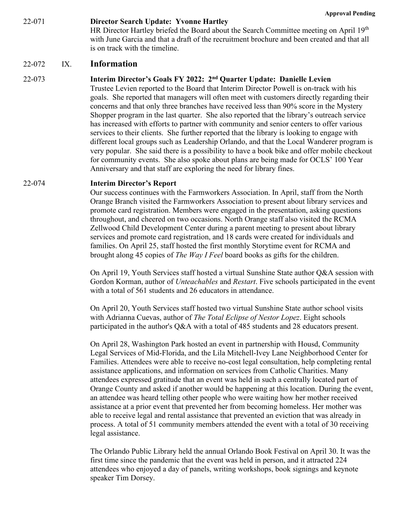22-071 **Director Search Update: Yvonne Hartley** HR Director Hartley briefed the Board about the Search Committee meeting on April 19<sup>th</sup> with June Garcia and that a draft of the recruitment brochure and been created and that all is on track with the timeline.

#### 22-072 IX. **Information**

#### 22-073 **Interim Director's Goals FY 2022: 2nd Quarter Update: Danielle Levien**

Trustee Levien reported to the Board that Interim Director Powell is on-track with his goals. She reported that managers will often meet with customers directly regarding their concerns and that only three branches have received less than 90% score in the Mystery Shopper program in the last quarter. She also reported that the library's outreach service has increased with efforts to partner with community and senior centers to offer various services to their clients. She further reported that the library is looking to engage with different local groups such as Leadership Orlando, and that the Local Wanderer program is very popular. She said there is a possibility to have a book bike and offer mobile checkout for community events. She also spoke about plans are being made for OCLS' 100 Year Anniversary and that staff are exploring the need for library fines.

#### 22-074 **Interim Director's Report**

Our success continues with the Farmworkers Association. In April, staff from the North Orange Branch visited the Farmworkers Association to present about library services and promote card registration. Members were engaged in the presentation, asking questions throughout, and cheered on two occasions. North Orange staff also visited the RCMA Zellwood Child Development Center during a parent meeting to present about library services and promote card registration, and 18 cards were created for individuals and families. On April 25, staff hosted the first monthly Storytime event for RCMA and brought along 45 copies of *The Way I Feel* board books as gifts for the children.

On April 19, Youth Services staff hosted a virtual Sunshine State author Q&A session with Gordon Korman, author of *Unteachables* and *Restart*. Five schools participated in the event with a total of 561 students and 26 educators in attendance.

On April 20, Youth Services staff hosted two virtual Sunshine State author school visits with Adrianna Cuevas, author of *The Total Eclipse of Nestor Lopez*. Eight schools participated in the author's Q&A with a total of 485 students and 28 educators present.

On April 28, Washington Park hosted an event in partnership with Housd, Community Legal Services of Mid-Florida, and the Lila Mitchell-Ivey Lane Neighborhood Center for Families. Attendees were able to receive no-cost legal consultation, help completing rental assistance applications, and information on services from Catholic Charities. Many attendees expressed gratitude that an event was held in such a centrally located part of Orange County and asked if another would be happening at this location. During the event, an attendee was heard telling other people who were waiting how her mother received assistance at a prior event that prevented her from becoming homeless. Her mother was able to receive legal and rental assistance that prevented an eviction that was already in process. A total of 51 community members attended the event with a total of 30 receiving legal assistance.

The Orlando Public Library held the annual Orlando Book Festival on April 30. It was the first time since the pandemic that the event was held in person, and it attracted 224 attendees who enjoyed a day of panels, writing workshops, book signings and keynote speaker Tim Dorsey.